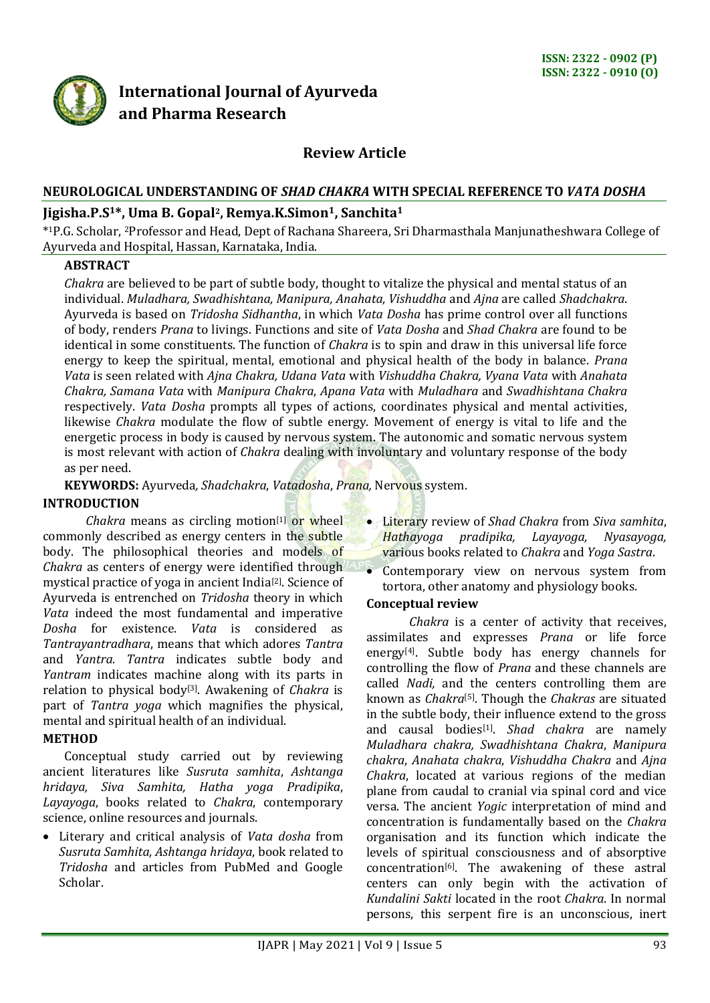

## **International Journal of Ayurveda and Pharma Research**

### **Review Article**

# **NEUROLOGICAL UNDERSTANDING OF** *SHAD CHAKRA* **WITH SPECIAL REFERENCE TO** *VATA DOSHA*

#### **Jigisha.P.S1\*, Uma B. Gopal2, Remya.K.Simon1, Sanchita<sup>1</sup>**

\* <sup>1</sup>P.G. Scholar, <sup>2</sup>Professor and Head, Dept of Rachana Shareera, Sri Dharmasthala Manjunatheshwara College of Ayurveda and Hospital, Hassan, Karnataka, India.

#### **ABSTRACT**

*Chakra* are believed to be part of subtle body, thought to vitalize the physical and mental status of an individual. *Muladhara, Swadhishtana, Manipura, Anahata, Vishuddha* and *Ajna* are called *Shadchakra*. Ayurveda is based on *Tridosha Sidhantha*, in which *Vata Dosha* has prime control over all functions of body, renders *Prana* to livings. Functions and site of *Vata Dosha* and *Shad Chakra* are found to be identical in some constituents. The function of *Chakra* is to spin and draw in this universal life force energy to keep the spiritual, mental, emotional and physical health of the body in balance. *Prana Vata* is seen related with *Ajna Chakra, Udana Vata* with *Vishuddha Chakra, Vyana Vata* with *Anahata Chakra, Samana Vata* with *Manipura Chakra*, *Apana Vata* with *Muladhara* and *Swadhishtana Chakra* respectively. *Vata Dosha* prompts all types of actions, coordinates physical and mental activities, likewise *Chakra* modulate the flow of subtle energy. Movement of energy is vital to life and the energetic process in body is caused by nervous system. The autonomic and somatic nervous system is most relevant with action of *Chakra* dealing with involuntary and voluntary response of the body as per need.

**KEYWORDS:** Ayurveda*, Shadchakra*, *Vatadosha*, *Prana,* Nervous system.

#### **INTRODUCTION**

*Chakra* means as circling motion<sup>[1]</sup> or wheel commonly described as energy centers in the subtle body. The philosophical theories and models of *Chakra* as centers of energy were identified through mystical practice of yoga in ancient India[2]. Science of Ayurveda is entrenched on *Tridosha* theory in which *Vata* indeed the most fundamental and imperative *Dosha* for existence. *Vata* is considered as *Tantrayantradhara*, means that which adores *Tantra* and *Yantra. Tantra* indicates subtle body and *Yantram* indicates machine along with its parts in relation to physical body<sup>[3]</sup>. Awakening of *Chakra* is part of *Tantra yoga* which magnifies the physical, mental and spiritual health of an individual.

#### **METHOD**

Conceptual study carried out by reviewing ancient literatures like *Susruta samhita*, *Ashtanga hridaya, Siva Samhita, Hatha yoga Pradipika*, *Layayoga*, books related to *Chakra*, contemporary science, online resources and journals.

 Literary and critical analysis of *Vata dosha* from *Susruta Samhita, Ashtanga hridaya*, book related to *Tridosha* and articles from PubMed and Google Scholar.

- Literary review of *Shad Chakra* from *Siva samhita*, *Hathayoga pradipika, Layayoga, Nyasayoga,* various books related to *Chakra* and *Yoga Sastra*.
- Contemporary view on nervous system from tortora, other anatomy and physiology books.

#### **Conceptual review**

*Chakra* is a center of activity that receives, assimilates and expresses *Prana* or life force energy[4]. Subtle body has energy channels for controlling the flow of *Prana* and these channels are called *Nadi,* and the centers controlling them are known as *Chakra*[5] . Though the *Chakras* are situated in the subtle body, their influence extend to the gross and causal bodies<sup>[1]</sup>. Shad chakra are namely *Muladhara chakra, Swadhishtana Chakra*, *Manipura chakra*, *Anahata chakra*, *Vishuddha Chakra* and *Ajna Chakra*, located at various regions of the median plane from caudal to cranial via spinal cord and vice versa. The ancient *Yogic* interpretation of mind and concentration is fundamentally based on the *Chakra* organisation and its function which indicate the levels of spiritual consciousness and of absorptive concentration<sup>[6]</sup>. The awakening of these astral centers can only begin with the activation of *Kundalini Sakti* located in the root *Chakra*. In normal persons, this serpent fire is an unconscious, inert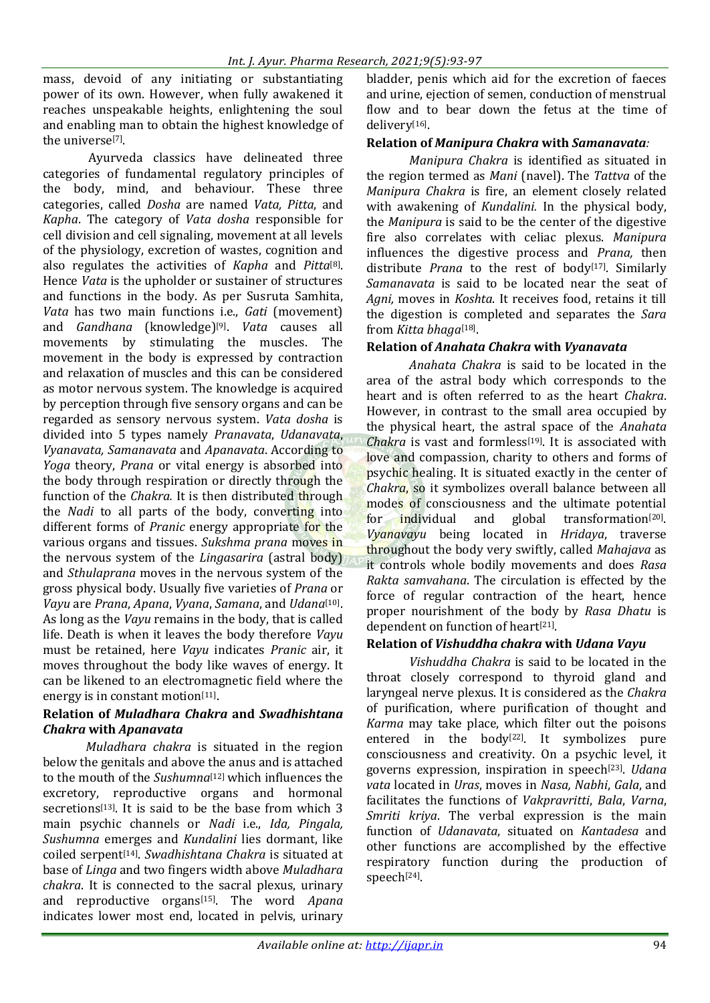mass, devoid of any initiating or substantiating power of its own. However, when fully awakened it reaches unspeakable heights, enlightening the soul and enabling man to obtain the highest knowledge of the universe<sup>[7]</sup>.

Ayurveda classics have delineated three categories of fundamental regulatory principles of the body, mind, and behaviour. These three categories, called *Dosha* are named *Vata, Pitta*, and *Kapha*. The category of *Vata dosha* responsible for cell division and cell signaling, movement at all levels of the physiology, excretion of wastes, cognition and also regulates the activities of *Kapha* and *Pitta*[8] . Hence *Vata* is the upholder or sustainer of structures and functions in the body. As per Susruta Samhita, *Vata* has two main functions i.e., *Gati* (movement) and *Gandhana* (knowledge)[9] . *Vata* causes all movements by stimulating the muscles. The movement in the body is expressed by contraction and relaxation of muscles and this can be considered as motor nervous system. The knowledge is acquired by perception through five sensory organs and can be regarded as sensory nervous system. *Vata dosha* is divided into 5 types namely *Pranavata*, *Udanavata*, *Vyanavata, Samanavata* and *Apanavata*. According to *Yoga* theory, *Prana* or vital energy is absorbed into the body through respiration or directly through the function of the *Chakra.* It is then distributed through the *Nadi* to all parts of the body, converting into different forms of *Pranic* energy appropriate for the various organs and tissues. *Sukshma prana* moves in the nervous system of the *Lingasarira* (astral body) and *Sthulaprana* moves in the nervous system of the gross physical body. Usually five varieties of *Prana* or *Vayu* are *Prana*, *Apana*, *Vyana*, *Samana*, and *Udana*[10] . As long as the *Vayu* remains in the body, that is called life. Death is when it leaves the body therefore *Vayu* must be retained, here *Vayu* indicates *Pranic* air, it moves throughout the body like waves of energy. It can be likened to an electromagnetic field where the energy is in constant motion<sup>[11]</sup>.

#### **Relation of** *Muladhara Chakra* **and** *Swadhishtana Chakra* **with** *Apanavata*

*Muladhara chakra* is situated in the region below the genitals and above the anus and is attached to the mouth of the *Sushumna*<sup>[12]</sup> which influences the excretory, reproductive organs and hormonal secretions<sup>[13]</sup>. It is said to be the base from which 3 main psychic channels or *Nadi* i.e., *Ida, Pingala, Sushumna* emerges and *Kundalini* lies dormant, like coiled serpent[14] . *Swadhishtana Chakra* is situated at base of *Linga* and two fingers width above *Muladhara chakra*. It is connected to the sacral plexus, urinary and reproductive organs<sup>[15]</sup>. The word Apana indicates lower most end, located in pelvis, urinary bladder, penis which aid for the excretion of faeces and urine, ejection of semen, conduction of menstrual flow and to bear down the fetus at the time of delivery[16].

#### **Relation of** *Manipura Chakra* **with** *Samanavata:*

*Manipura Chakra* is identified as situated in the region termed as *Mani* (navel). The *Tattva* of the *Manipura Chakra* is fire, an element closely related with awakening of *Kundalini.* In the physical body, the *Manipura* is said to be the center of the digestive fire also correlates with celiac plexus. *Manipura* influences the digestive process and *Prana,* then distribute *Prana* to the rest of body<sup>[17]</sup>. Similarly *Samanavata* is said to be located near the seat of *Agni,* moves in *Koshta*. It receives food, retains it till the digestion is completed and separates the *Sara* from *Kitta bhaga*<sup>[18]</sup>.

#### **Relation of** *Anahata Chakra* **with** *Vyanavata*

*Anahata Chakra* is said to be located in the area of the astral body which corresponds to the heart and is often referred to as the heart *Chakra*. However, in contrast to the small area occupied by the physical heart, the astral space of the *Anahata Chakra* is vast and formless<sup>[19]</sup>. It is associated with love and compassion, charity to others and forms of psychic healing. It is situated exactly in the center of *Chakra*, so it symbolizes overall balance between all modes of consciousness and the ultimate potential for individual and global transformation<sup>[20]</sup>. *Vyanavayu* being located in *Hridaya*, traverse throughout the body very swiftly, called *Mahajava* as it controls whole bodily movements and does *Rasa Rakta samvahana*. The circulation is effected by the force of regular contraction of the heart, hence proper nourishment of the body by *Rasa Dhatu* is dependent on function of heart<sup>[21]</sup>.

#### **Relation of** *Vishuddha chakra* **with** *Udana Vayu*

*Vishuddha Chakra* is said to be located in the throat closely correspond to thyroid gland and laryngeal nerve plexus. It is considered as the *Chakra* of purification, where purification of thought and *Karma* may take place, which filter out the poisons entered in the body<sup>[22]</sup>. It symbolizes pure consciousness and creativity. On a psychic level, it governs expression, inspiration in speech[23] . *Udana vata* located in *Uras*, moves in *Nasa, Nabhi*, *Gala*, and facilitates the functions of *Vakpravritti*, *Bala*, *Varna*, *Smriti kriya*. The verbal expression is the main function of *Udanavata*, situated on *Kantadesa* and other functions are accomplished by the effective respiratory function during the production of speech[24].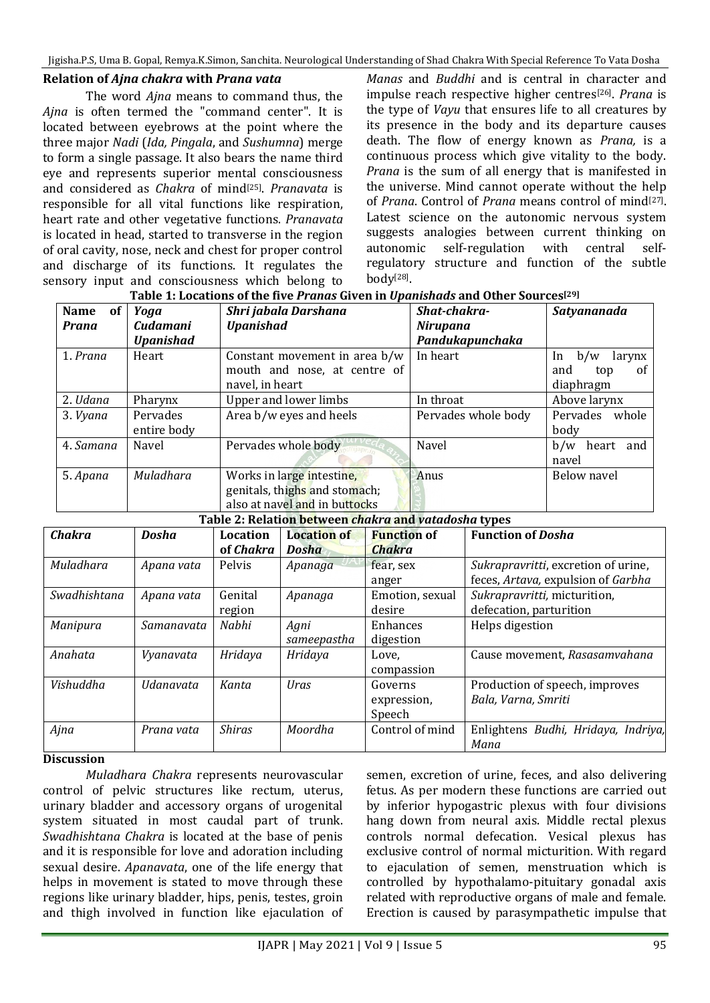Jigisha.P.S, Uma B. Gopal, Remya.K.Simon, Sanchita. Neurological Understanding of Shad Chakra With Special Reference To Vata Dosha

#### **Relation of** *Ajna chakra* **with** *Prana vata*

The word *Ajna* means to command thus, the *Ajna* is often termed the "command center". It is located between eyebrows at the point where the three major *Nadi* (*Ida, Pingala*, and *Sushumna*) merge to form a single passage. It also bears the name third eye and represents superior mental consciousness and considered as *Chakra* of mind[25] . *Pranavata* is responsible for all vital functions like respiration, heart rate and other vegetative functions. *Pranavata* is located in head, started to transverse in the region of oral cavity, nose, neck and chest for proper control and discharge of its functions. It regulates the sensory input and consciousness which belong to

*Manas* and *Buddhi* and is central in character and impulse reach respective higher centres[26] . *Prana* is the type of *Vayu* that ensures life to all creatures by its presence in the body and its departure causes death. The flow of energy known as *Prana,* is a continuous process which give vitality to the body. *Prana* is the sum of all energy that is manifested in the universe. Mind cannot operate without the help of *Prana*. Control of *Prana* means control of mind<sup>[27]</sup>. Latest science on the autonomic nervous system suggests analogies between current thinking on autonomic self-regulation with central selfregulatory structure and function of the subtle body[28] .

| <b>Name</b><br><b>of</b> | Yoga                    | Shri jabala Darshana<br><b>Cudamani</b><br><b>Upanishad</b>                                 |                                                      |                                    | Shat-chakra- |                                                                           | Satyananada                   |
|--------------------------|-------------------------|---------------------------------------------------------------------------------------------|------------------------------------------------------|------------------------------------|--------------|---------------------------------------------------------------------------|-------------------------------|
| Prana                    | <b>Upanishad</b>        |                                                                                             |                                                      | <b>Nirupana</b><br>Pandukapunchaka |              |                                                                           |                               |
| 1. Prana                 | Heart                   |                                                                                             | Constant movement in area b/w                        |                                    |              |                                                                           | b/w<br>larynx<br>In           |
|                          |                         |                                                                                             | mouth and nose, at centre of<br>navel, in heart      |                                    |              |                                                                           | and<br>of<br>top<br>diaphragm |
| 2. Udana                 | Pharynx                 | <b>Upper and lower limbs</b>                                                                |                                                      |                                    | In throat    |                                                                           | Above larynx                  |
| 3. Vyana                 | Pervades<br>entire body |                                                                                             | Area b/w eyes and heels                              |                                    |              | Pervades whole body                                                       | Pervades<br>whole<br>body     |
| 4. Samana                | Navel                   |                                                                                             | Pervades whole body                                  |                                    | Navel        |                                                                           | b/w<br>heart and<br>navel     |
| 5. Apana                 | Muladhara               | Works in large intestine,<br>genitals, thighs and stomach;<br>also at navel and in buttocks |                                                      | Anus                               |              | <b>Below navel</b>                                                        |                               |
|                          |                         |                                                                                             | Table 2: Relation between chakra and vatadosha types |                                    |              |                                                                           |                               |
| <b>Chakra</b>            | <b>Dosha</b>            | <b>Location</b>                                                                             | <b>Function of</b><br><b>Location of</b>             |                                    |              | <b>Function of Dosha</b>                                                  |                               |
|                          |                         | of Chakra                                                                                   | <b>Dosha</b>                                         | <b>Chakra</b>                      |              |                                                                           |                               |
| Muladhara                | Apana vata              | Pelvis                                                                                      | Apanaga                                              | fear, sex<br>anger                 |              | Sukrapravritti, excretion of urine,<br>feces, Artava, expulsion of Garbha |                               |
| Swadhishtana             | Apana vata              | Genital<br>region                                                                           | Apanaga                                              | Emotion, sexual<br>desire          |              | Sukrapravritti, micturition,<br>defecation, parturition                   |                               |
| Manipura                 | Samanavata              | Nabhi                                                                                       | Agni<br>sameepastha                                  | Enhances<br>digestion              |              | Helps digestion                                                           |                               |
| Anahata                  | Vyanavata               | Hridaya                                                                                     | Hridaya                                              | Love,<br>compassion                |              | Cause movement, Rasasamvahana                                             |                               |
| Vishuddha                | Udanavata               | Kanta                                                                                       | Uras                                                 | Governs<br>expression,<br>Speech   |              | Production of speech, improves<br>Bala, Varna, Smriti                     |                               |
| Ajna                     | Prana vata              | <b>Shiras</b>                                                                               | Moordha                                              | Control of mind                    |              | Enlightens Budhi, Hridaya, Indriya,<br>Mana                               |                               |

#### **Table 1: Locations of the five** *Pranas* **Given in** *Upanishads* **and Other Sources[29]**

#### **Discussion**

*Muladhara Chakra* represents neurovascular control of pelvic structures like rectum, uterus, urinary bladder and accessory organs of urogenital system situated in most caudal part of trunk. *Swadhishtana Chakra* is located at the base of penis and it is responsible for love and adoration including sexual desire. *Apanavata*, one of the life energy that helps in movement is stated to move through these regions like urinary bladder, hips, penis, testes, groin and thigh involved in function like ejaculation of semen, excretion of urine, feces, and also delivering fetus. As per modern these functions are carried out by inferior hypogastric plexus with four divisions hang down from neural axis. Middle rectal plexus controls normal defecation. Vesical plexus has exclusive control of normal micturition. With regard to ejaculation of semen, menstruation which is controlled by hypothalamo-pituitary gonadal axis related with reproductive organs of male and female. Erection is caused by parasympathetic impulse that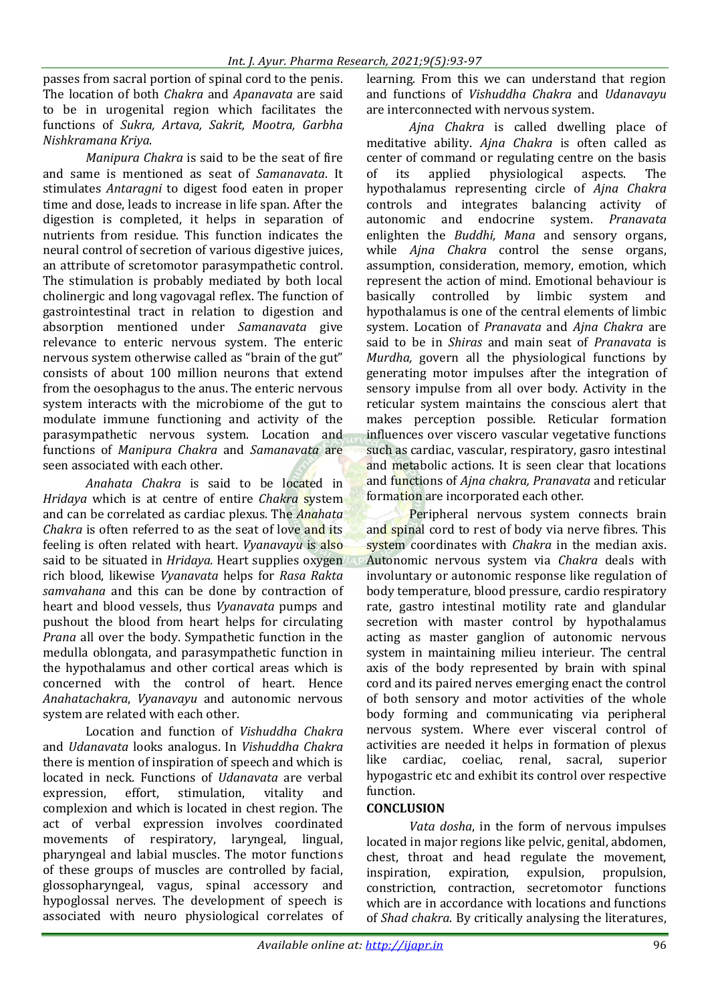passes from sacral portion of spinal cord to the penis. The location of both *Chakra* and *Apanavata* are said to be in urogenital region which facilitates the functions of *Sukra, Artava, Sakrit, Mootra, Garbha Nishkramana Kriya*.

*Manipura Chakra* is said to be the seat of fire and same is mentioned as seat of *Samanavata*. It stimulates *Antaragni* to digest food eaten in proper time and dose, leads to increase in life span. After the digestion is completed, it helps in separation of nutrients from residue. This function indicates the neural control of secretion of various digestive juices, an attribute of scretomotor parasympathetic control. The stimulation is probably mediated by both local cholinergic and long vagovagal reflex. The function of gastrointestinal tract in relation to digestion and absorption mentioned under *Samanavata* give relevance to enteric nervous system. The enteric nervous system otherwise called as "brain of the gut" consists of about 100 million neurons that extend from the oesophagus to the anus. The enteric nervous system interacts with the microbiome of the gut to modulate immune functioning and activity of the parasympathetic nervous system. Location and functions of *Manipura Chakra* and *Samanavata* are seen associated with each other.

*Anahata Chakra* is said to be located in *Hridaya* which is at centre of entire *Chakra* system and can be correlated as cardiac plexus. The *Anahata Chakra* is often referred to as the seat of love and its feeling is often related with heart. *Vyanavayu* is also said to be situated in *Hridaya.* Heart supplies oxygen rich blood, likewise *Vyanavata* helps for *Rasa Rakta samvahana* and this can be done by contraction of heart and blood vessels, thus *Vyanavata* pumps and pushout the blood from heart helps for circulating *Prana* all over the body. Sympathetic function in the medulla oblongata, and parasympathetic function in the hypothalamus and other cortical areas which is concerned with the control of heart. Hence *Anahatachakra*, *Vyanavayu* and autonomic nervous system are related with each other.

Location and function of *Vishuddha Chakra* and *Udanavata* looks analogus. In *Vishuddha Chakra* there is mention of inspiration of speech and which is located in neck. Functions of *Udanavata* are verbal expression, effort, stimulation, vitality and complexion and which is located in chest region. The act of verbal expression involves coordinated movements of respiratory, laryngeal, lingual, pharyngeal and labial muscles. The motor functions of these groups of muscles are controlled by facial, glossopharyngeal, vagus, spinal accessory and hypoglossal nerves. The development of speech is associated with neuro physiological correlates of learning. From this we can understand that region and functions of *Vishuddha Chakra* and *Udanavayu* are interconnected with nervous system.

*Ajna Chakra* is called dwelling place of meditative ability. *Ajna Chakra* is often called as center of command or regulating centre on the basis of its applied physiological aspects. The hypothalamus representing circle of *Ajna Chakra*  controls and integrates balancing activity of autonomic and endocrine system. *Pranavata*  enlighten the *Buddhi, Mana* and sensory organs, while *Ajna Chakra* control the sense organs, assumption, consideration, memory, emotion, which represent the action of mind. Emotional behaviour is basically controlled by limbic system and hypothalamus is one of the central elements of limbic system. Location of *Pranavata* and *Ajna Chakra* are said to be in *Shiras* and main seat of *Pranavata* is *Murdha,* govern all the physiological functions by generating motor impulses after the integration of sensory impulse from all over body. Activity in the reticular system maintains the conscious alert that makes perception possible. Reticular formation influences over viscero vascular vegetative functions such as cardiac, vascular, respiratory, gasro intestinal and metabolic actions. It is seen clear that locations and functions of *Ajna chakra, Pranavata* and reticular formation are incorporated each other.

Peripheral nervous system connects brain and spinal cord to rest of body via nerve fibres. This system coordinates with *Chakra* in the median axis. Autonomic nervous system via *Chakra* deals with involuntary or autonomic response like regulation of body temperature, blood pressure, cardio respiratory rate, gastro intestinal motility rate and glandular secretion with master control by hypothalamus acting as master ganglion of autonomic nervous system in maintaining milieu interieur. The central axis of the body represented by brain with spinal cord and its paired nerves emerging enact the control of both sensory and motor activities of the whole body forming and communicating via peripheral nervous system. Where ever visceral control of activities are needed it helps in formation of plexus like cardiac, coeliac, renal, sacral, superior hypogastric etc and exhibit its control over respective function.

#### **CONCLUSION**

*Vata dosha*, in the form of nervous impulses located in major regions like pelvic, genital, abdomen, chest, throat and head regulate the movement, inspiration, expiration, expulsion, propulsion, constriction, contraction, secretomotor functions which are in accordance with locations and functions of *Shad chakra*. By critically analysing the literatures,